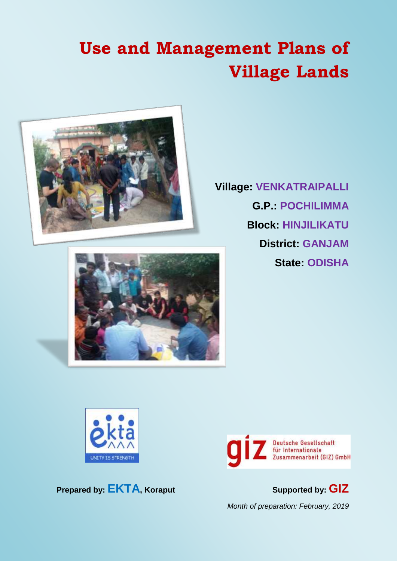# **Use and Management Plans of Village Lands**



**Village: VENKATRAIPALLI G.P.: POCHILIMMA Block: HINJILIKATU District: GANJAM State: ODISHA**





**Prepared by: EKTA, Koraput Supported by: GIZ**



*Month of preparation: February, 2019*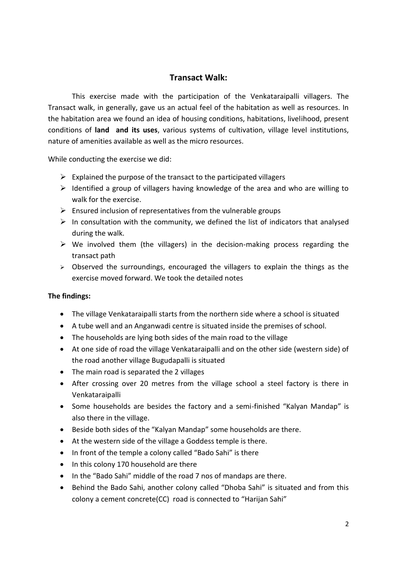#### **Transact Walk:**

This exercise made with the participation of the Venkataraipalli villagers. The Transact walk, in generally, gave us an actual feel of the habitation as well as resources. In the habitation area we found an idea of housing conditions, habitations, livelihood, present conditions of **land and its uses**, various systems of cultivation, village level institutions, nature of amenities available as well as the micro resources.

While conducting the exercise we did:

- $\triangleright$  Explained the purpose of the transact to the participated villagers
- $\triangleright$  Identified a group of villagers having knowledge of the area and who are willing to walk for the exercise.
- $\triangleright$  Ensured inclusion of representatives from the vulnerable groups
- $\triangleright$  In consultation with the community, we defined the list of indicators that analysed during the walk.
- $\triangleright$  We involved them (the villagers) in the decision-making process regarding the transact path
- $\triangleright$  Observed the surroundings, encouraged the villagers to explain the things as the exercise moved forward. We took the detailed notes

#### **The findings:**

- The village Venkataraipalli starts from the northern side where a school is situated
- A tube well and an Anganwadi centre is situated inside the premises of school.
- The households are lying both sides of the main road to the village
- At one side of road the village Venkataraipalli and on the other side (western side) of the road another village Bugudapalli is situated
- The main road is separated the 2 villages
- After crossing over 20 metres from the village school a steel factory is there in Venkataraipalli
- Some households are besides the factory and a semi-finished "Kalyan Mandap" is also there in the village.
- Beside both sides of the "Kalyan Mandap" some households are there.
- At the western side of the village a Goddess temple is there.
- In front of the temple a colony called "Bado Sahi" is there
- In this colony 170 household are there
- In the "Bado Sahi" middle of the road 7 nos of mandaps are there.
- Behind the Bado Sahi, another colony called "Dhoba Sahi" is situated and from this colony a cement concrete(CC) road is connected to "Harijan Sahi"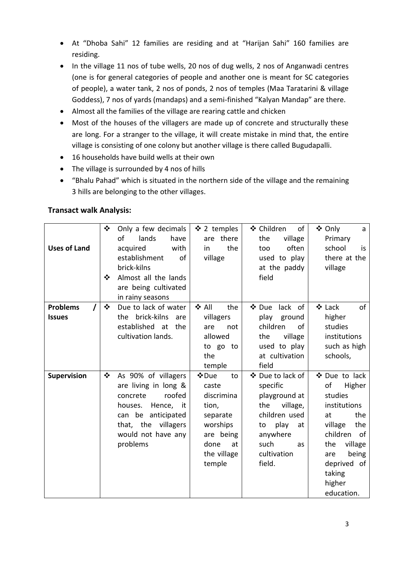- At "Dhoba Sahi" 12 families are residing and at "Harijan Sahi" 160 families are residing.
- In the village 11 nos of tube wells, 20 nos of dug wells, 2 nos of Anganwadi centres (one is for general categories of people and another one is meant for SC categories of people), a water tank, 2 nos of ponds, 2 nos of temples (Maa Taratarini & village Goddess), 7 nos of yards (mandaps) and a semi-finished "Kalyan Mandap" are there.
- Almost all the families of the village are rearing cattle and chicken
- Most of the houses of the villagers are made up of concrete and structurally these are long. For a stranger to the village, it will create mistake in mind that, the entire village is consisting of one colony but another village is there called Bugudapalli.
- 16 households have build wells at their own
- The village is surrounded by 4 nos of hills
- "Bhalu Pahad" which is situated in the northern side of the village and the remaining 3 hills are belonging to the other villages.

#### **Transact walk Analysis:**

| <b>Uses of Land</b>              | ❖<br>❖                         | Only a few decimals<br>of<br>lands<br>have<br>with<br>acquired<br>establishment<br>of<br>brick-kilns<br>Almost all the lands<br>are being cultivated<br>in rainy seasons    | ❖ 2 temples<br>are there<br>the<br>in.<br>village                                                                       | ❖ Children<br>of<br>the<br>village<br>often<br>too<br>used to play<br>at the paddy<br>field                                                              | ❖ Only<br>a<br>Primary<br>school<br>is.<br>there at the<br>village                                                                                                                           |
|----------------------------------|--------------------------------|-----------------------------------------------------------------------------------------------------------------------------------------------------------------------------|-------------------------------------------------------------------------------------------------------------------------|----------------------------------------------------------------------------------------------------------------------------------------------------------|----------------------------------------------------------------------------------------------------------------------------------------------------------------------------------------------|
| <b>Problems</b><br><b>Issues</b> | $\mathbf{r}^{\star}_{\bullet}$ | Due to lack of water<br>the brick-kilns<br>are<br>established at<br>the<br>cultivation lands.                                                                               | ❖ All<br>the<br>villagers<br>are<br>not<br>allowed<br>to go to<br>the<br>temple                                         | lack of<br>❖ Due<br>play<br>ground<br>children<br>of<br>village<br>the<br>used to play<br>at cultivation<br>field                                        | ❖ Lack<br>of<br>higher<br>studies<br>institutions<br>such as high<br>schools,                                                                                                                |
| Supervision                      | ❖                              | As 90% of villagers<br>are living in long &<br>roofed<br>concrete<br>houses.<br>Hence, it<br>can be<br>anticipated<br>that, the villagers<br>would not have any<br>problems | ❖ Due<br>to<br>caste<br>discrimina<br>tion,<br>separate<br>worships<br>are being<br>done<br>at<br>the village<br>temple | ❖ Due to lack of<br>specific<br>playground at<br>village,<br>the<br>children used<br>play<br>to<br>at<br>anywhere<br>such<br>as<br>cultivation<br>field. | ❖ Due to lack<br>оf<br>Higher<br>studies<br>institutions<br>the<br>at<br>the<br>village<br>children<br>0f<br>village<br>the<br>being<br>are<br>deprived of<br>taking<br>higher<br>education. |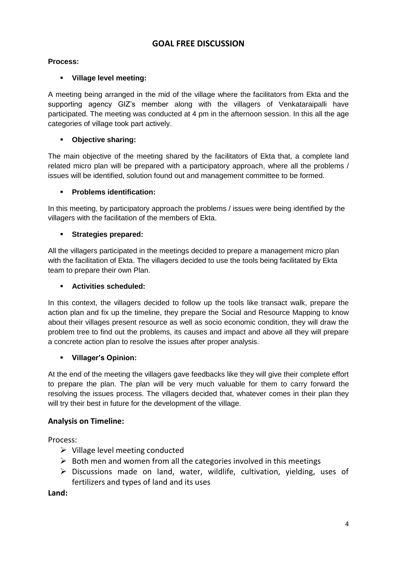## **GOAL FREE DISCUSSION**

#### **Process:**

#### **Village level meeting:**

A meeting being arranged in the mid of the village where the facilitators from Ekta and the supporting agency GIZ's member along with the villagers of Venkataraipalli have participated. The meeting was conducted at 4 pm in the afternoon session. In this all the age categories of village took part actively.

#### **Objective sharing:**

The main objective of the meeting shared by the facilitators of Ekta that, a complete land related micro plan will be prepared with a participatory approach, where all the problems / issues will be identified, solution found out and management committee to be formed.

#### **Problems identification:**

In this meeting, by participatory approach the problems / issues were being identified by the villagers with the facilitation of the members of Ekta.

#### **Strategies prepared:**

All the villagers participated in the meetings decided to prepare a management micro plan with the facilitation of Ekta. The villagers decided to use the tools being facilitated by Ekta team to prepare their own Plan.

#### **Activities scheduled:**

In this context, the villagers decided to follow up the tools like transact walk, prepare the action plan and fix up the timeline, they prepare the Social and Resource Mapping to know about their villages present resource as well as socio economic condition, they will draw the problem tree to find out the problems, its causes and impact and above all they will prepare a concrete action plan to resolve the issues after proper analysis.

#### **Villager's Opinion:**

At the end of the meeting the villagers gave feedbacks like they will give their complete effort to prepare the plan. The plan will be very much valuable for them to carry forward the resolving the issues process. The villagers decided that, whatever comes in their plan they will try their best in future for the development of the village.

#### **Analysis on Timeline:**

Process:

- $\triangleright$  Village level meeting conducted
- $\triangleright$  Both men and women from all the categories involved in this meetings
- $\triangleright$  Discussions made on land, water, wildlife, cultivation, yielding, uses of fertilizers and types of land and its uses

**Land:**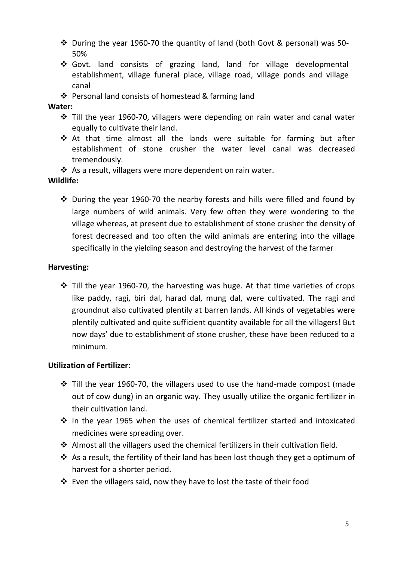- During the year 1960-70 the quantity of land (both Govt & personal) was 50- 50%
- Govt. land consists of grazing land, land for village developmental establishment, village funeral place, village road, village ponds and village canal
- ❖ Personal land consists of homestead & farming land

#### **Water:**

- Till the year 1960-70, villagers were depending on rain water and canal water equally to cultivate their land.
- At that time almost all the lands were suitable for farming but after establishment of stone crusher the water level canal was decreased tremendously.
- ❖ As a result, villagers were more dependent on rain water.

#### **Wildlife:**

 $\cdot$  During the year 1960-70 the nearby forests and hills were filled and found by large numbers of wild animals. Very few often they were wondering to the village whereas, at present due to establishment of stone crusher the density of forest decreased and too often the wild animals are entering into the village specifically in the yielding season and destroying the harvest of the farmer

#### **Harvesting:**

 $\cdot$  Till the year 1960-70, the harvesting was huge. At that time varieties of crops like paddy, ragi, biri dal, harad dal, mung dal, were cultivated. The ragi and groundnut also cultivated plentily at barren lands. All kinds of vegetables were plentily cultivated and quite sufficient quantity available for all the villagers! But now days' due to establishment of stone crusher, these have been reduced to a minimum.

#### **Utilization of Fertilizer**:

- $\cdot$  Till the year 1960-70, the villagers used to use the hand-made compost (made out of cow dung) in an organic way. They usually utilize the organic fertilizer in their cultivation land.
- $\cdot$  In the year 1965 when the uses of chemical fertilizer started and intoxicated medicines were spreading over.
- $\triangle$  Almost all the villagers used the chemical fertilizers in their cultivation field.
- $\cdot$  As a result, the fertility of their land has been lost though they get a optimum of harvest for a shorter period.
- $\cdot$  Even the villagers said, now they have to lost the taste of their food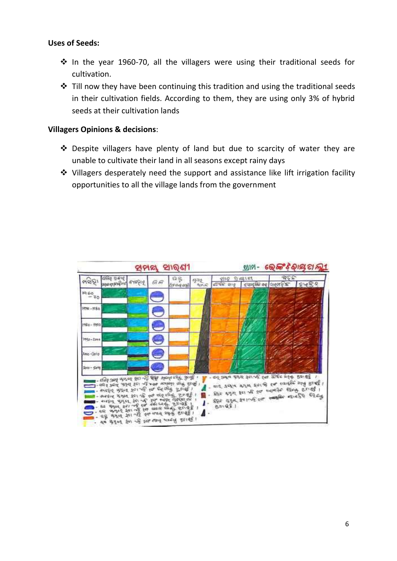#### **Uses of Seeds:**

- $\cdot$  In the year 1960-70, all the villagers were using their traditional seeds for cultivation.
- $\div$  Till now they have been continuing this tradition and using the traditional seeds in their cultivation fields. According to them, they are using only 3% of hybrid seeds at their cultivation lands

#### **Villagers Opinions & decisions**:

- Despite villagers have plenty of land but due to scarcity of water they are unable to cultivate their land in all seasons except rainy days
- Villagers desperately need the support and assistance like lift irrigation facility opportunities to all the village lands from the government

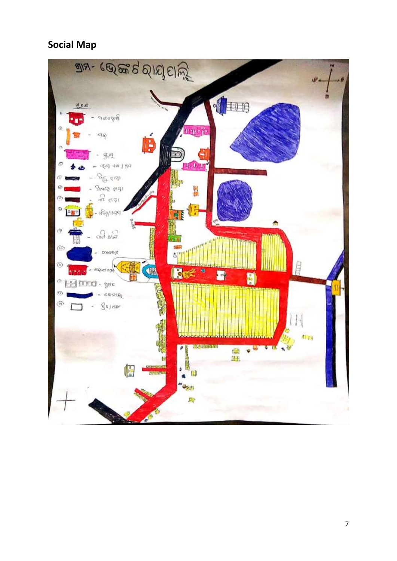# **Social Map**

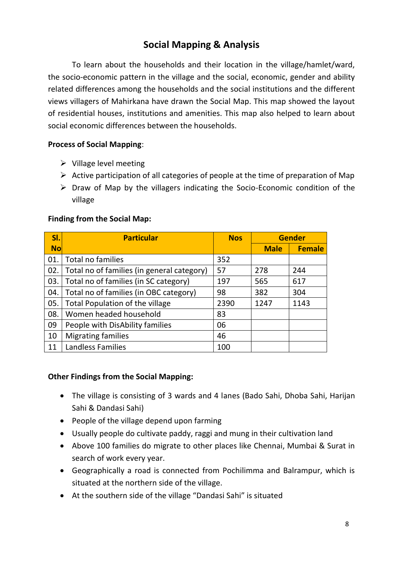# **Social Mapping & Analysis**

To learn about the households and their location in the village/hamlet/ward, the socio-economic pattern in the village and the social, economic, gender and ability related differences among the households and the social institutions and the different views villagers of Mahirkana have drawn the Social Map. This map showed the layout of residential houses, institutions and amenities. This map also helped to learn about social economic differences between the households.

#### **Process of Social Mapping**:

- $\triangleright$  Village level meeting
- $\triangleright$  Active participation of all categories of people at the time of preparation of Map
- $\triangleright$  Draw of Map by the villagers indicating the Socio-Economic condition of the village

#### **Finding from the Social Map:**

| SI.       | <b>Particular</b>                          | <b>Nos</b> | <b>Gender</b> |               |
|-----------|--------------------------------------------|------------|---------------|---------------|
| <b>No</b> |                                            |            | <b>Male</b>   | <b>Female</b> |
| 01.       | Total no families                          | 352        |               |               |
| 02.       | Total no of families (in general category) | 57         | 278           | 244           |
| 03.       | Total no of families (in SC category)      | 197        | 565           | 617           |
| 04.       | Total no of families (in OBC category)     | 98         | 382           | 304           |
| 05.       | Total Population of the village            | 2390       | 1247          | 1143          |
| 08.       | Women headed household                     | 83         |               |               |
| 09        | People with DisAbility families            | 06         |               |               |
| 10        | <b>Migrating families</b>                  | 46         |               |               |
| 11        | <b>Landless Families</b>                   | 100        |               |               |

#### **Other Findings from the Social Mapping:**

- The village is consisting of 3 wards and 4 lanes (Bado Sahi, Dhoba Sahi, Harijan Sahi & Dandasi Sahi)
- People of the village depend upon farming
- Usually people do cultivate paddy, raggi and mung in their cultivation land
- Above 100 families do migrate to other places like Chennai, Mumbai & Surat in search of work every year.
- Geographically a road is connected from Pochilimma and Balrampur, which is situated at the northern side of the village.
- At the southern side of the village "Dandasi Sahi" is situated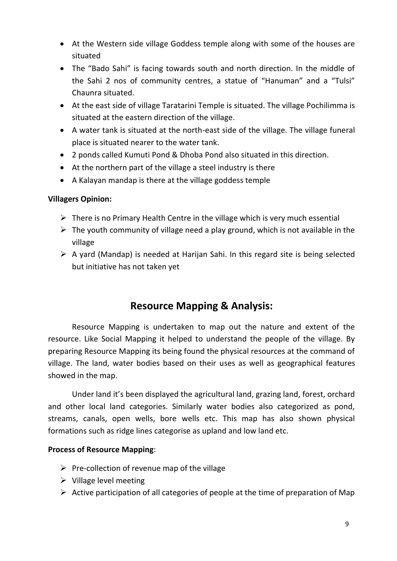- At the Western side village Goddess temple along with some of the houses are situated
- The "Bado Sahi" is facing towards south and north direction. In the middle of the Sahi 2 nos of community centres, a statue of "Hanuman" and a "Tulsi" Chaunra situated.
- At the east side of village Taratarini Temple is situated. The village Pochilimma is situated at the eastern direction of the village.
- A water tank is situated at the north-east side of the village. The village funeral place is situated nearer to the water tank.
- 2 ponds called Kumuti Pond & Dhoba Pond also situated in this direction.
- At the northern part of the village a steel industry is there
- A Kalayan mandap is there at the village goddess temple

#### **Villagers Opinion:**

- $\triangleright$  There is no Primary Health Centre in the village which is very much essential
- $\triangleright$  The youth community of village need a play ground, which is not available in the village
- $\triangleright$  A yard (Mandap) is needed at Harijan Sahi. In this regard site is being selected but initiative has not taken yet

## **Resource Mapping & Analysis:**

Resource Mapping is undertaken to map out the nature and extent of the resource. Like Social Mapping it helped to understand the people of the village. By preparing Resource Mapping its being found the physical resources at the command of village. The land, water bodies based on their uses as well as geographical features showed in the map.

Under land it's been displayed the agricultural land, grazing land, forest, orchard and other local land categories. Similarly water bodies also categorized as pond, streams, canals, open wells, bore wells etc. This map has also shown physical formations such as ridge lines categorise as upland and low land etc.

#### **Process of Resource Mapping**:

- $\triangleright$  Pre-collection of revenue map of the village
- $\triangleright$  Village level meeting
- $\triangleright$  Active participation of all categories of people at the time of preparation of Map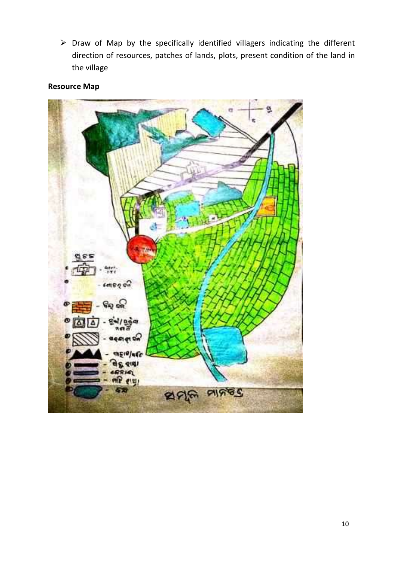$\triangleright$  Draw of Map by the specifically identified villagers indicating the different direction of resources, patches of lands, plots, present condition of the land in the village

## **Resource Map**

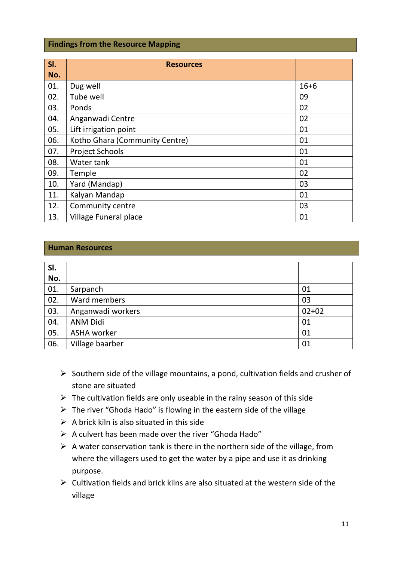#### **Findings from the Resource Mapping**

| SI. | <b>Resources</b>               |          |
|-----|--------------------------------|----------|
| No. |                                |          |
| 01. | Dug well                       | $16 + 6$ |
| 02. | Tube well                      | 09       |
| 03. | Ponds                          | 02       |
| 04. | Anganwadi Centre               | 02       |
| 05. | Lift irrigation point          | 01       |
| 06. | Kotho Ghara (Community Centre) | 01       |
| 07. | <b>Project Schools</b>         | 01       |
| 08. | Water tank                     | 01       |
| 09. | Temple                         | 02       |
| 10. | Yard (Mandap)                  | 03       |
| 11. | Kalyan Mandap                  | 01       |
| 12. | Community centre               | 03       |
| 13. | Village Funeral place          | 01       |

#### **Human Resources**

| SI. |                    |           |
|-----|--------------------|-----------|
| No. |                    |           |
| 01. | Sarpanch           | 01        |
| 02. | Ward members       | 03        |
| 03. | Anganwadi workers  | $02 + 02$ |
| 04. | <b>ANM Didi</b>    | 01        |
| 05. | <b>ASHA</b> worker | 01        |
| 06. | Village baarber    | 01        |

- $\triangleright$  Southern side of the village mountains, a pond, cultivation fields and crusher of stone are situated
- $\triangleright$  The cultivation fields are only useable in the rainy season of this side
- $\triangleright$  The river "Ghoda Hado" is flowing in the eastern side of the village
- $\triangleright$  A brick kiln is also situated in this side
- $\triangleright$  A culvert has been made over the river "Ghoda Hado"
- $\triangleright$  A water conservation tank is there in the northern side of the village, from where the villagers used to get the water by a pipe and use it as drinking purpose.
- $\triangleright$  Cultivation fields and brick kilns are also situated at the western side of the village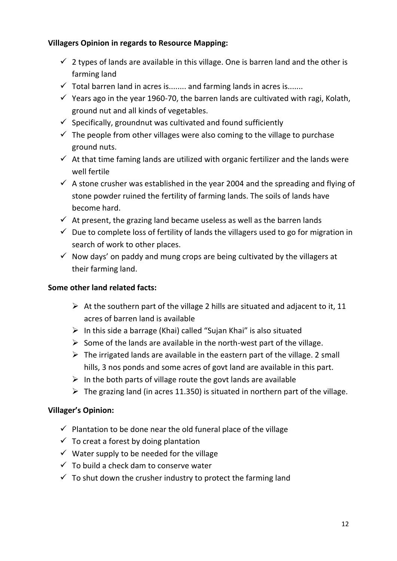### **Villagers Opinion in regards to Resource Mapping:**

- $\checkmark$  2 types of lands are available in this village. One is barren land and the other is farming land
- $\checkmark$  Total barren land in acres is........ and farming lands in acres is.......
- $\checkmark$  Years ago in the year 1960-70, the barren lands are cultivated with ragi, Kolath, ground nut and all kinds of vegetables.
- $\checkmark$  Specifically, groundnut was cultivated and found sufficiently
- $\checkmark$  The people from other villages were also coming to the village to purchase ground nuts.
- $\checkmark$  At that time faming lands are utilized with organic fertilizer and the lands were well fertile
- $\checkmark$  A stone crusher was established in the year 2004 and the spreading and flying of stone powder ruined the fertility of farming lands. The soils of lands have become hard.
- $\checkmark$  At present, the grazing land became useless as well as the barren lands
- $\checkmark$  Due to complete loss of fertility of lands the villagers used to go for migration in search of work to other places.
- $\checkmark$  Now days' on paddy and mung crops are being cultivated by the villagers at their farming land.

#### **Some other land related facts:**

- $\triangleright$  At the southern part of the village 2 hills are situated and adjacent to it, 11 acres of barren land is available
- $\triangleright$  In this side a barrage (Khai) called "Sujan Khai" is also situated
- $\triangleright$  Some of the lands are available in the north-west part of the village.
- $\triangleright$  The irrigated lands are available in the eastern part of the village. 2 small hills, 3 nos ponds and some acres of govt land are available in this part.
- $\triangleright$  In the both parts of village route the govt lands are available
- $\triangleright$  The grazing land (in acres 11.350) is situated in northern part of the village.

#### **Villager's Opinion:**

- $\checkmark$  Plantation to be done near the old funeral place of the village
- $\checkmark$  To creat a forest by doing plantation
- $\checkmark$  Water supply to be needed for the village
- $\checkmark$  To build a check dam to conserve water
- $\checkmark$  To shut down the crusher industry to protect the farming land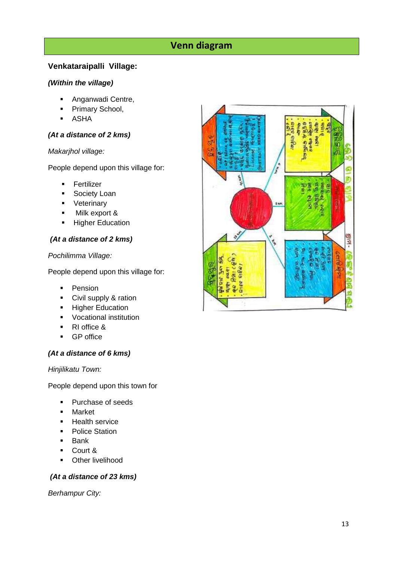## **Venn diagram**

#### **Venkataraipalli Village:**

#### *(Within the village)*

- **Anganwadi Centre,**
- Primary School,
- ASHA

#### *(At a distance of 2 kms)*

#### *Makarjhol village:*

People depend upon this village for:

- **Fertilizer**
- **Society Loan**
- **veterinary**
- Milk export &
- Higher Education

#### *(At a distance of 2 kms)*

*Pochilimma Village:*

People depend upon this village for:

- **Pension**
- **Civil supply & ration**
- **Higher Education**
- **Vocational institution**
- RI office &
- **GP** office

#### *(At a distance of 6 kms)*

#### *Hinjilikatu Town:*

People depend upon this town for

- Purchase of seeds
- **-** Market
- **Health service**
- Police Station
- $-Bank$
- Court &
- **•** Other livelihood

#### *(At a distance of 23 kms)*

*Berhampur City:*

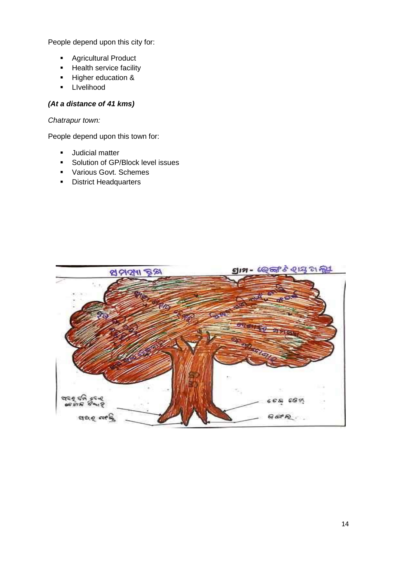People depend upon this city for:

- **Agricultural Product**
- **Health service facility**
- Higher education &
- **-** Livelihood

#### *(At a distance of 41 kms)*

#### *Chatrapur town:*

People depend upon this town for:

- **Judicial matter**
- **Solution of GP/Block level issues**
- **•** Various Govt. Schemes
- **District Headquarters**

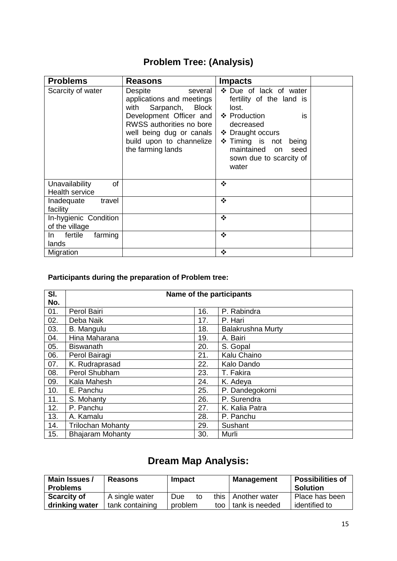# **Problem Tree: (Analysis)**

| <b>Problems</b>                               | <b>Reasons</b>                                                                                                                                                                                                           | <b>Impacts</b>                                                                                                                                                                                                             |  |
|-----------------------------------------------|--------------------------------------------------------------------------------------------------------------------------------------------------------------------------------------------------------------------------|----------------------------------------------------------------------------------------------------------------------------------------------------------------------------------------------------------------------------|--|
| Scarcity of water                             | <b>Despite</b><br>several<br>applications and meetings<br>with<br>Sarpanch,<br>Block<br>Development Officer and<br>RWSS authorities no bore<br>well being dug or canals<br>build upon to channelize<br>the farming lands | ❖ Due of lack of water<br>fertility of the land is<br>lost.<br>❖ Production<br>is<br>decreased<br>❖ Draught occurs<br>$\div$ Timing is not<br>being<br>maintained<br>seed<br><b>on</b><br>sown due to scarcity of<br>water |  |
| οf<br>Unavailability<br><b>Health service</b> |                                                                                                                                                                                                                          | ❖                                                                                                                                                                                                                          |  |
| Inadequate<br>travel<br>facility              |                                                                                                                                                                                                                          | ❖                                                                                                                                                                                                                          |  |
| In-hygienic Condition<br>of the village       |                                                                                                                                                                                                                          | $\cdot$                                                                                                                                                                                                                    |  |
| fertile<br>farming<br>In.<br>lands            |                                                                                                                                                                                                                          | ❖                                                                                                                                                                                                                          |  |
| Migration                                     |                                                                                                                                                                                                                          | $\cdot$                                                                                                                                                                                                                    |  |

## **Participants during the preparation of Problem tree:**

| SI. | Name of the participants |     |                          |  |
|-----|--------------------------|-----|--------------------------|--|
| No. |                          |     |                          |  |
| 01. | Perol Bairi              | 16. | P. Rabindra              |  |
| 02. | Deba Naik                | 17. | P. Hari                  |  |
| 03. | B. Mangulu               | 18. | <b>Balakrushna Murty</b> |  |
| 04. | Hina Maharana            | 19. | A. Bairi                 |  |
| 05. | <b>Biswanath</b>         | 20. | S. Gopal                 |  |
| 06. | Perol Bairagi            | 21. | Kalu Chaino              |  |
| 07. | K. Rudraprasad           | 22. | Kalo Dando               |  |
| 08. | Perol Shubham            | 23. | T. Fakira                |  |
| 09. | Kala Mahesh              | 24. | K. Adeya                 |  |
| 10. | E. Panchu                | 25. | P. Dandegokorni          |  |
| 11. | S. Mohanty               | 26. | P. Surendra              |  |
| 12. | P. Panchu                | 27. | K. Kalia Patra           |  |
| 13. | A. Kamalu                | 28. | P. Panchu                |  |
| 14. | <b>Trilochan Mohanty</b> | 29. | Sushant                  |  |
| 15. | <b>Bhajaram Mohanty</b>  | 30. | Murli                    |  |

# **Dream Map Analysis:**

| Main Issues /<br><b>Problems</b> | <b>Reasons</b>  | <b>Impact</b>  | <b>Management</b>    | Possibilities of<br><b>Solution</b> |
|----------------------------------|-----------------|----------------|----------------------|-------------------------------------|
| <b>Scarcity of</b>               | A single water  | Due:<br>to     | this   Another water | Place has been                      |
| drinking water                   | tank containing | problem<br>too | tank is needed       | identified to                       |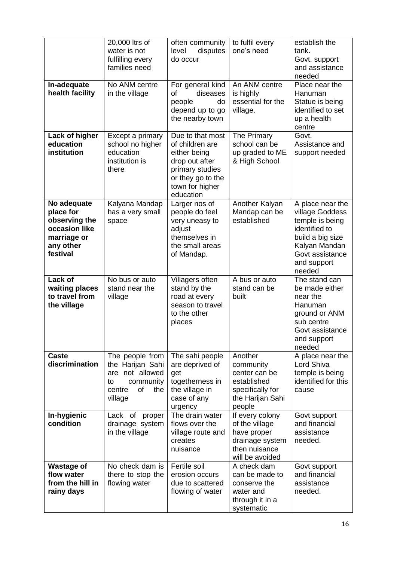|                                                                                                    | 20,000 ltrs of<br>water is not<br>fulfilling every<br>families need                                            | often community<br>level<br>disputes<br>do occur                                                                                              | to fulfil every<br>one's need                                                                           | establish the<br>tank.<br>Govt. support<br>and assistance<br>needed                                                                                      |
|----------------------------------------------------------------------------------------------------|----------------------------------------------------------------------------------------------------------------|-----------------------------------------------------------------------------------------------------------------------------------------------|---------------------------------------------------------------------------------------------------------|----------------------------------------------------------------------------------------------------------------------------------------------------------|
| In-adequate<br>health facility                                                                     | No ANM centre<br>in the village                                                                                | For general kind<br>diseases<br>οf<br>people<br>do<br>depend up to go<br>the nearby town                                                      | An ANM centre<br>is highly<br>essential for the<br>village.                                             | Place near the<br>Hanuman<br>Statue is being<br>identified to set<br>up a health<br>centre                                                               |
| Lack of higher<br>education<br>institution                                                         | Except a primary<br>school no higher<br>education<br>institution is<br>there                                   | Due to that most<br>of children are<br>either being<br>drop out after<br>primary studies<br>or they go to the<br>town for higher<br>education | The Primary<br>school can be<br>up graded to ME<br>& High School                                        | Govt.<br>Assistance and<br>support needed                                                                                                                |
| No adequate<br>place for<br>observing the<br>occasion like<br>marriage or<br>any other<br>festival | Kalyana Mandap<br>has a very small<br>space                                                                    | Larger nos of<br>people do feel<br>very uneasy to<br>adjust<br>themselves in<br>the small areas<br>of Mandap.                                 | Another Kalyan<br>Mandap can be<br>established                                                          | A place near the<br>village Goddess<br>temple is being<br>identified to<br>build a big size<br>Kalyan Mandan<br>Govt assistance<br>and support<br>needed |
| Lack of<br>waiting places<br>to travel from<br>the village                                         | No bus or auto<br>stand near the<br>village                                                                    | Villagers often<br>stand by the<br>road at every<br>season to travel<br>to the other<br>places                                                | A bus or auto<br>stand can be<br>built                                                                  | The stand can<br>be made either<br>near the<br>Hanuman<br>ground or ANM<br>sub centre<br>Govt assistance<br>and support<br>needed                        |
| <b>Caste</b><br>discrimination                                                                     | The people from<br>the Harijan Sahi<br>not allowed<br>are<br>community<br>to<br>of<br>the<br>centre<br>village | The sahi people<br>are deprived of<br>get<br>togetherness in<br>the village in<br>case of any<br>urgency                                      | Another<br>community<br>center can be<br>established<br>specifically for<br>the Harijan Sahi<br>people  | A place near the<br>Lord Shiva<br>temple is being<br>identified for this<br>cause                                                                        |
| In-hygienic<br>condition                                                                           | Lack of proper<br>drainage system<br>in the village                                                            | The drain water<br>flows over the<br>village route and<br>creates<br>nuisance                                                                 | If every colony<br>of the village<br>have proper<br>drainage system<br>then nuisance<br>will be avoided | Govt support<br>and financial<br>assistance<br>needed.                                                                                                   |
| <b>Wastage of</b><br>flow water<br>from the hill in<br>rainy days                                  | No check dam is<br>there to stop the<br>flowing water                                                          | Fertile soil<br>erosion occurs<br>due to scattered<br>flowing of water                                                                        | A check dam<br>can be made to<br>conserve the<br>water and<br>through it in a<br>systematic             | Govt support<br>and financial<br>assistance<br>needed.                                                                                                   |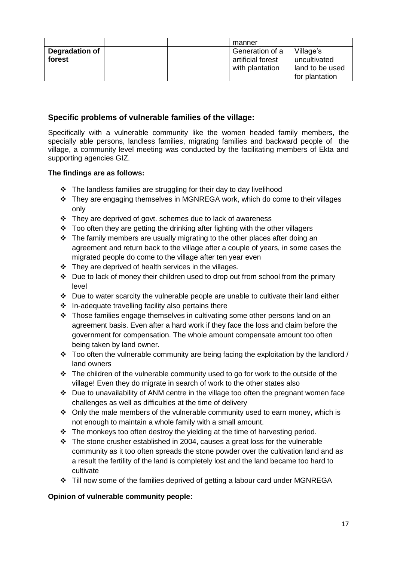|                          |  | manner                                                  |                                                                |
|--------------------------|--|---------------------------------------------------------|----------------------------------------------------------------|
| Degradation of<br>forest |  | Generation of a<br>artificial forest<br>with plantation | Village's<br>uncultivated<br>land to be used<br>for plantation |

#### **Specific problems of vulnerable families of the village:**

Specifically with a vulnerable community like the women headed family members, the specially able persons, landless families, migrating families and backward people of the village, a community level meeting was conducted by the facilitating members of Ekta and supporting agencies GIZ.

#### **The findings are as follows:**

- $\cdot$  The landless families are struggling for their day to day livelihood
- They are engaging themselves in MGNREGA work, which do come to their villages only
- \* They are deprived of govt. schemes due to lack of awareness
- $\div$  Too often they are getting the drinking after fighting with the other villagers
- $\cdot \cdot$  The family members are usually migrating to the other places after doing an agreement and return back to the village after a couple of years, in some cases the migrated people do come to the village after ten year even
- $\div$  They are deprived of health services in the villages.
- $\div$  Due to lack of money their children used to drop out from school from the primary level
- Due to water scarcity the vulnerable people are unable to cultivate their land either
- $\div$  In-adequate travelling facility also pertains there
- $\cdot \cdot$  Those families engage themselves in cultivating some other persons land on an agreement basis. Even after a hard work if they face the loss and claim before the government for compensation. The whole amount compensate amount too often being taken by land owner.
- $\cdot$  Too often the vulnerable community are being facing the exploitation by the landlord / land owners
- $\cdot \cdot$  The children of the vulnerable community used to go for work to the outside of the village! Even they do migrate in search of work to the other states also
- $\div$  Due to unavailability of ANM centre in the village too often the pregnant women face challenges as well as difficulties at the time of delivery
- $\div$  Only the male members of the vulnerable community used to earn money, which is not enough to maintain a whole family with a small amount.
- \* The monkeys too often destroy the yielding at the time of harvesting period.
- $\cdot \cdot$  The stone crusher established in 2004, causes a great loss for the vulnerable community as it too often spreads the stone powder over the cultivation land and as a result the fertility of the land is completely lost and the land became too hard to cultivate
- $\div$  Till now some of the families deprived of getting a labour card under MGNREGA

#### **Opinion of vulnerable community people:**